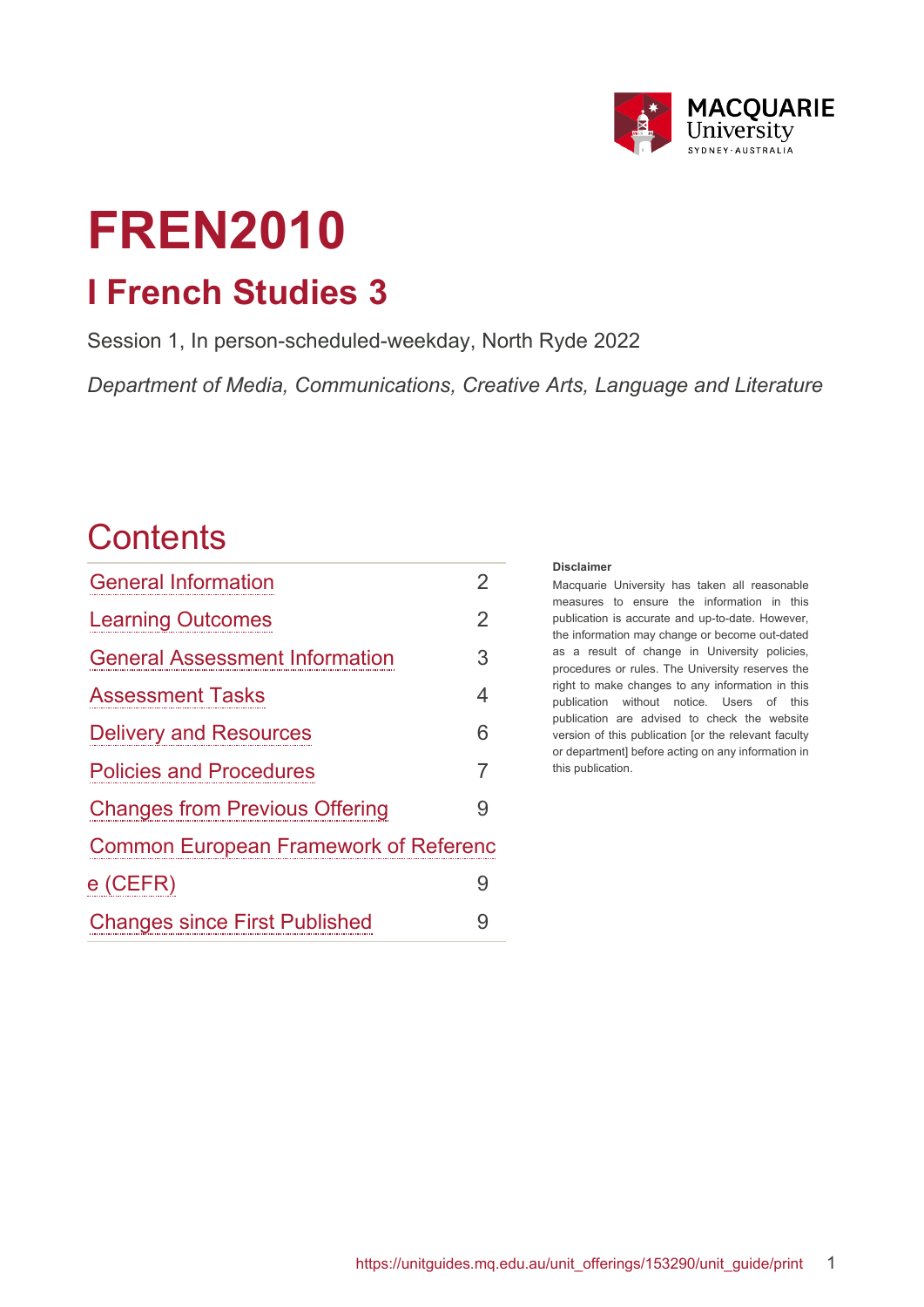

# **FREN2010 I French Studies 3**

Session 1, In person-scheduled-weekday, North Ryde 2022

*Department of Media, Communications, Creative Arts, Language and Literature*

## **Contents**

| <b>General Information</b>                   | $\overline{2}$ |  |  |
|----------------------------------------------|----------------|--|--|
| <b>Learning Outcomes</b>                     | $\overline{2}$ |  |  |
| <b>General Assessment Information</b>        | 3              |  |  |
| <b>Assessment Tasks</b>                      | 4              |  |  |
| <b>Delivery and Resources</b>                | 6              |  |  |
| <b>Policies and Procedures</b>               | $\overline{7}$ |  |  |
| <b>Changes from Previous Offering</b>        | 9              |  |  |
| <b>Common European Framework of Referenc</b> |                |  |  |
| $e$ (CEFR)                                   | 9              |  |  |
| <b>Changes since First Published</b>         | 9              |  |  |

#### **Disclaimer**

Macquarie University has taken all reasonable measures to ensure the information in this publication is accurate and up-to-date. However, the information may change or become out-dated as a result of change in University policies, procedures or rules. The University reserves the right to make changes to any information in this publication without notice. Users of this publication are advised to check the website version of this publication [or the relevant faculty or department] before acting on any information in this publication.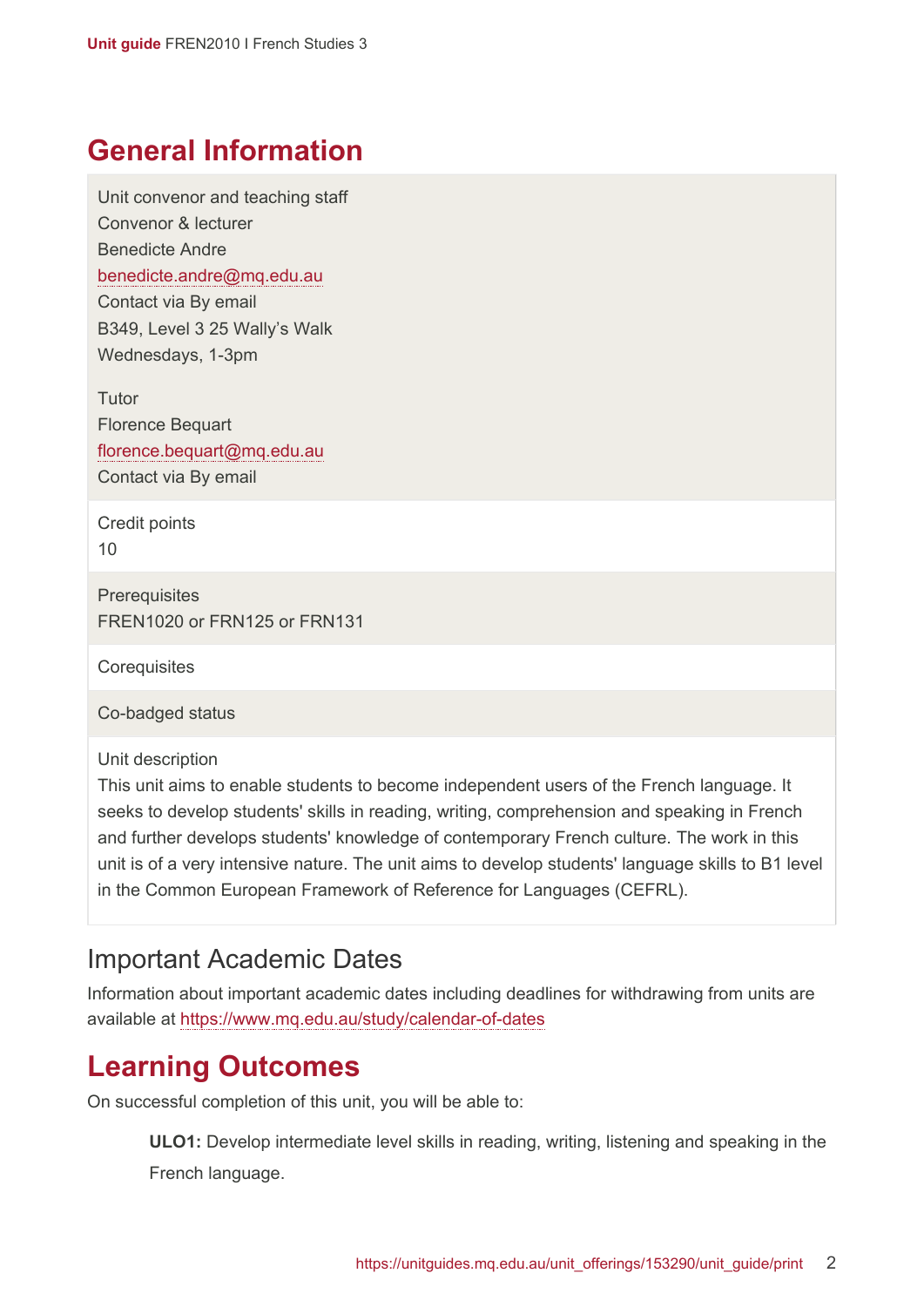### <span id="page-1-0"></span>**General Information**

Unit convenor and teaching staff Convenor & lecturer Benedicte Andre [benedicte.andre@mq.edu.au](mailto:benedicte.andre@mq.edu.au) Contact via By email B349, Level 3 25 Wally's Walk Wednesdays, 1-3pm

**Tutor** Florence Bequart [florence.bequart@mq.edu.au](mailto:florence.bequart@mq.edu.au) Contact via By email

Credit points 10

**Prerequisites** FREN1020 or FRN125 or FRN131

**Corequisites** 

Co-badged status

Unit description

This unit aims to enable students to become independent users of the French language. It seeks to develop students' skills in reading, writing, comprehension and speaking in French and further develops students' knowledge of contemporary French culture. The work in this unit is of a very intensive nature. The unit aims to develop students' language skills to B1 level in the Common European Framework of Reference for Languages (CEFRL).

#### Important Academic Dates

Information about important academic dates including deadlines for withdrawing from units are available at <https://www.mq.edu.au/study/calendar-of-dates>

## <span id="page-1-1"></span>**Learning Outcomes**

On successful completion of this unit, you will be able to:

**ULO1:** Develop intermediate level skills in reading, writing, listening and speaking in the French language.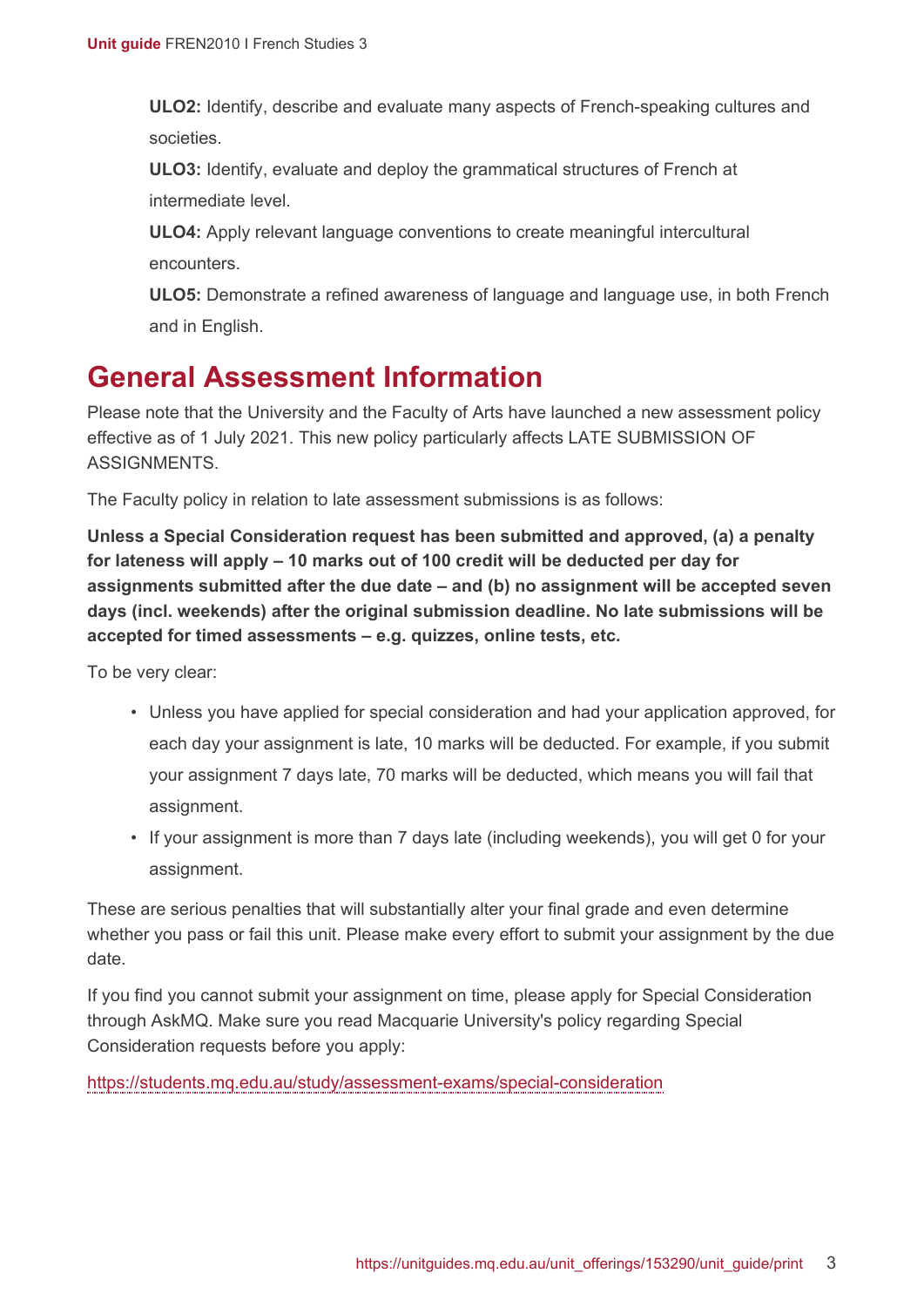**ULO2:** Identify, describe and evaluate many aspects of French-speaking cultures and societies.

**ULO3:** Identify, evaluate and deploy the grammatical structures of French at intermediate level.

**ULO4:** Apply relevant language conventions to create meaningful intercultural encounters.

**ULO5:** Demonstrate a refined awareness of language and language use, in both French and in English.

## <span id="page-2-0"></span>**General Assessment Information**

Please note that the University and the Faculty of Arts have launched a new assessment policy effective as of 1 July 2021. This new policy particularly affects LATE SUBMISSION OF **ASSIGNMENTS** 

The Faculty policy in relation to late assessment submissions is as follows:

**Unless a Special Consideration request has been submitted and approved, (a) a penalty for lateness will apply – 10 marks out of 100 credit will be deducted per day for assignments submitted after the due date – and (b) no assignment will be accepted seven days (incl. weekends) after the original submission deadline. No late submissions will be accepted for timed assessments – e.g. quizzes, online tests, etc.**

To be very clear:

- Unless you have applied for special consideration and had your application approved, for each day your assignment is late, 10 marks will be deducted. For example, if you submit your assignment 7 days late, 70 marks will be deducted, which means you will fail that assignment.
- If your assignment is more than 7 days late (including weekends), you will get 0 for your assignment.

These are serious penalties that will substantially alter your final grade and even determine whether you pass or fail this unit. Please make every effort to submit your assignment by the due date.

If you find you cannot submit your assignment on time, please apply for Special Consideration through AskMQ. Make sure you read Macquarie University's policy regarding Special Consideration requests before you apply:

<https://students.mq.edu.au/study/assessment-exams/special-consideration>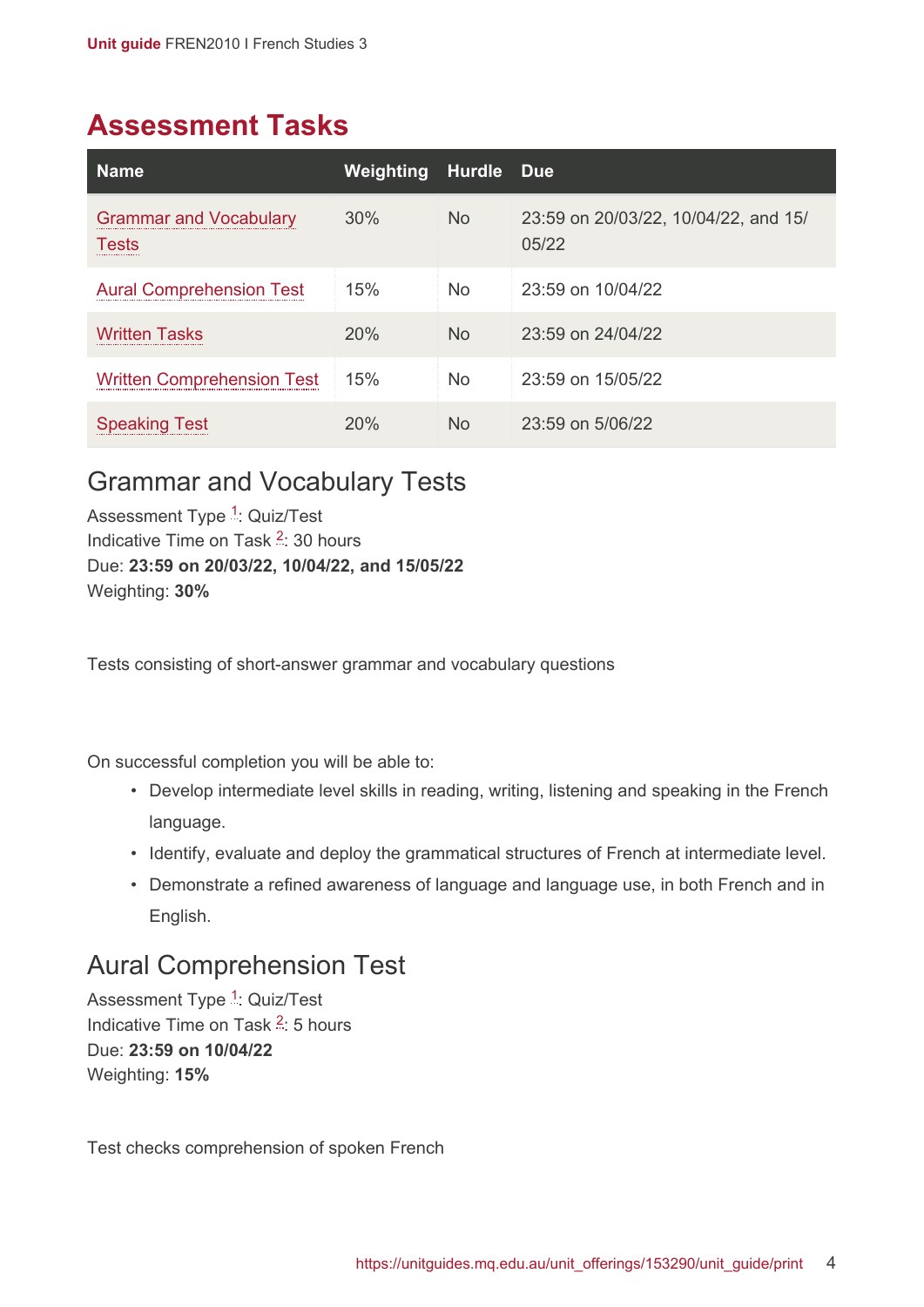## <span id="page-3-0"></span>**Assessment Tasks**

| <b>Name</b>                                   | Weighting | Hurdle         | <b>Due</b>                                    |
|-----------------------------------------------|-----------|----------------|-----------------------------------------------|
| <b>Grammar and Vocabulary</b><br><b>Tests</b> | 30%       | <b>No</b>      | 23:59 on 20/03/22, 10/04/22, and 15/<br>05/22 |
| <b>Aural Comprehension Test</b>               | 15%       | <b>No</b>      | 23:59 on 10/04/22                             |
| <b>Written Tasks</b>                          | 20%       | <b>No</b>      | 23:59 on 24/04/22                             |
| <b>Written Comprehension Test</b>             | 15%       | <b>No</b>      | 23:59 on 15/05/22                             |
| <b>Speaking Test</b>                          | 20%       | N <sub>o</sub> | $23:59$ on $5/06/22$                          |

#### <span id="page-3-1"></span>Grammar and Vocabulary Tests

Assessment Type <sup>[1](#page-5-2)</sup>: Quiz/Test Indicative Time on Task <sup>[2](#page-5-3)</sup>: 30 hours Due: **23:59 on 20/03/22, 10/04/22, and 15/05/22** Weighting: **30%**

Tests consisting of short-answer grammar and vocabulary questions

On successful completion you will be able to:

- Develop intermediate level skills in reading, writing, listening and speaking in the French language.
- Identify, evaluate and deploy the grammatical structures of French at intermediate level.
- Demonstrate a refined awareness of language and language use, in both French and in English.

#### <span id="page-3-2"></span>Aural Comprehension Test

Assessment Type <sup>[1](#page-5-2)</sup>: Quiz/Test Indicative Time on Task <sup>[2](#page-5-3)</sup>: 5 hours Due: **23:59 on 10/04/22** Weighting: **15%**

Test checks comprehension of spoken French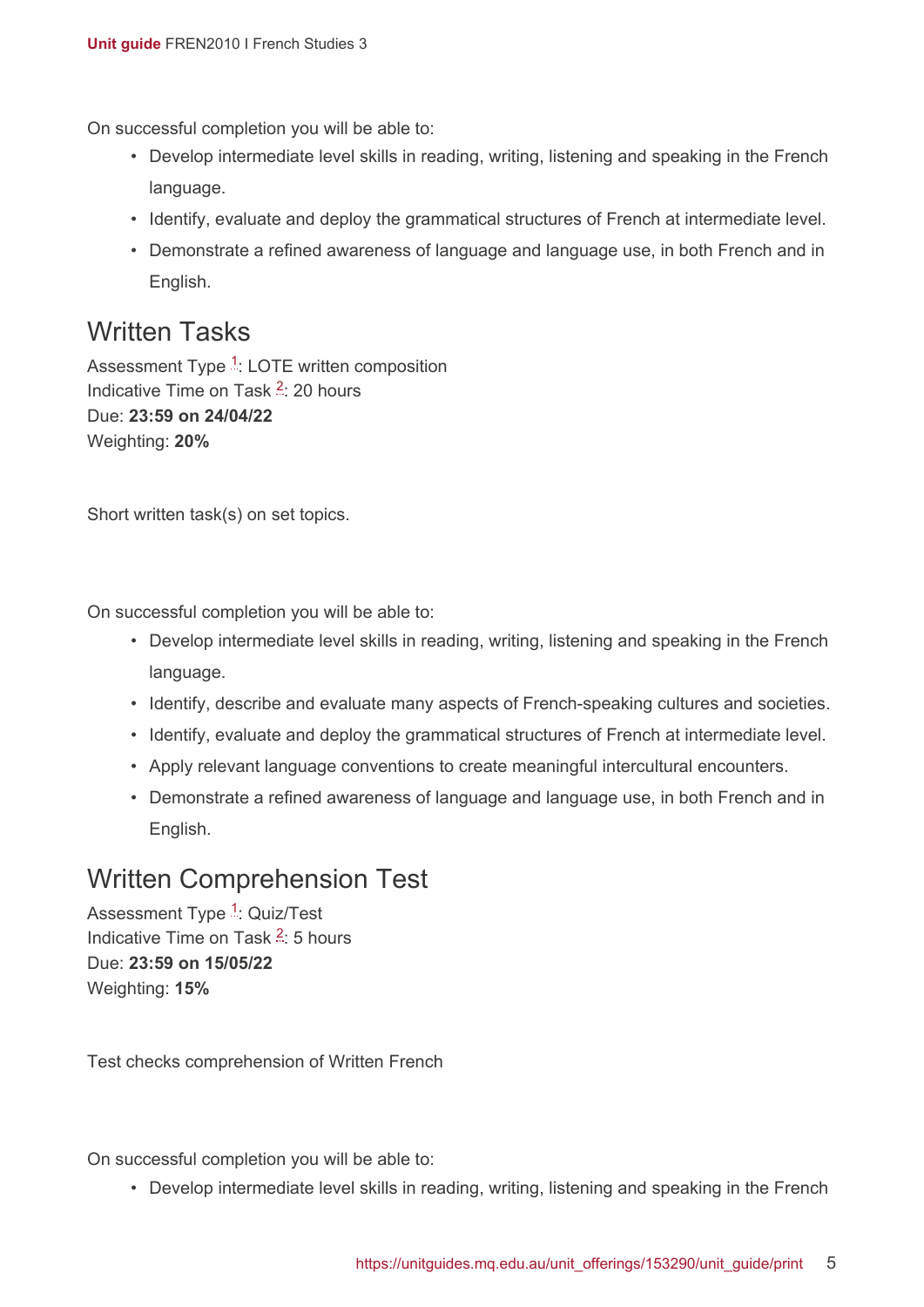On successful completion you will be able to:

- Develop intermediate level skills in reading, writing, listening and speaking in the French language.
- Identify, evaluate and deploy the grammatical structures of French at intermediate level.
- Demonstrate a refined awareness of language and language use, in both French and in English.

#### <span id="page-4-0"></span>Written Tasks

Assessment Type <sup>[1](#page-5-2)</sup>: LOTE written composition Indicative Time on Task <sup>[2](#page-5-3)</sup>: 20 hours Due: **23:59 on 24/04/22** Weighting: **20%**

Short written task(s) on set topics.

On successful completion you will be able to:

- Develop intermediate level skills in reading, writing, listening and speaking in the French language.
- Identify, describe and evaluate many aspects of French-speaking cultures and societies.
- Identify, evaluate and deploy the grammatical structures of French at intermediate level.
- Apply relevant language conventions to create meaningful intercultural encounters.
- Demonstrate a refined awareness of language and language use, in both French and in English.

#### <span id="page-4-1"></span>Written Comprehension Test

Assessment Type <sup>[1](#page-5-2)</sup>: Quiz/Test Indicative Time on Task <sup>[2](#page-5-3)</sup>: 5 hours Due: **23:59 on 15/05/22** Weighting: **15%**

Test checks comprehension of Written French

On successful completion you will be able to:

• Develop intermediate level skills in reading, writing, listening and speaking in the French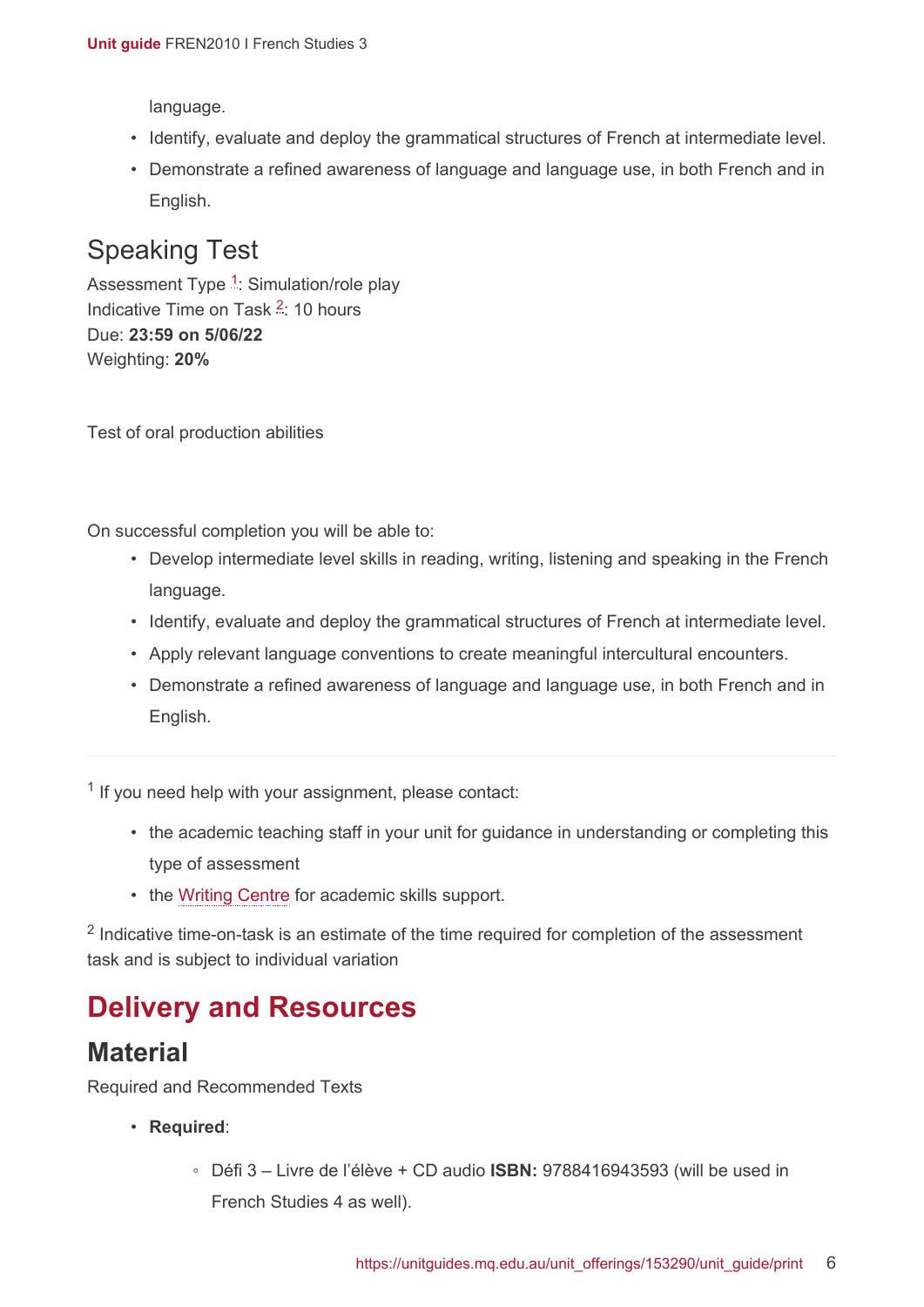language.

- Identify, evaluate and deploy the grammatical structures of French at intermediate level.
- Demonstrate a refined awareness of language and language use, in both French and in English.

### <span id="page-5-1"></span>Speaking Test

Assessment Type <sup>[1](#page-5-2)</sup>: Simulation/role play Indicative Time on Task <sup>[2](#page-5-3)</sup>: 10 hours Due: **23:59 on 5/06/22** Weighting: **20%**

Test of oral production abilities

On successful completion you will be able to:

- Develop intermediate level skills in reading, writing, listening and speaking in the French language.
- Identify, evaluate and deploy the grammatical structures of French at intermediate level.
- Apply relevant language conventions to create meaningful intercultural encounters.
- Demonstrate a refined awareness of language and language use, in both French and in English.

<span id="page-5-2"></span><sup>1</sup> If you need help with your assignment, please contact:

- the academic teaching staff in your unit for guidance in understanding or completing this type of assessment
- the [Writing Centre](https://students.mq.edu.au/support/study/skills-development) for academic skills support.

<span id="page-5-3"></span> $2$  Indicative time-on-task is an estimate of the time required for completion of the assessment task and is subject to individual variation

## <span id="page-5-0"></span>**Delivery and Resources**

#### **Material**

Required and Recommended Texts

- **Required**:
	- Défi 3 Livre de l'élève + CD audio **ISBN:** 9788416943593 (will be used in French Studies 4 as well).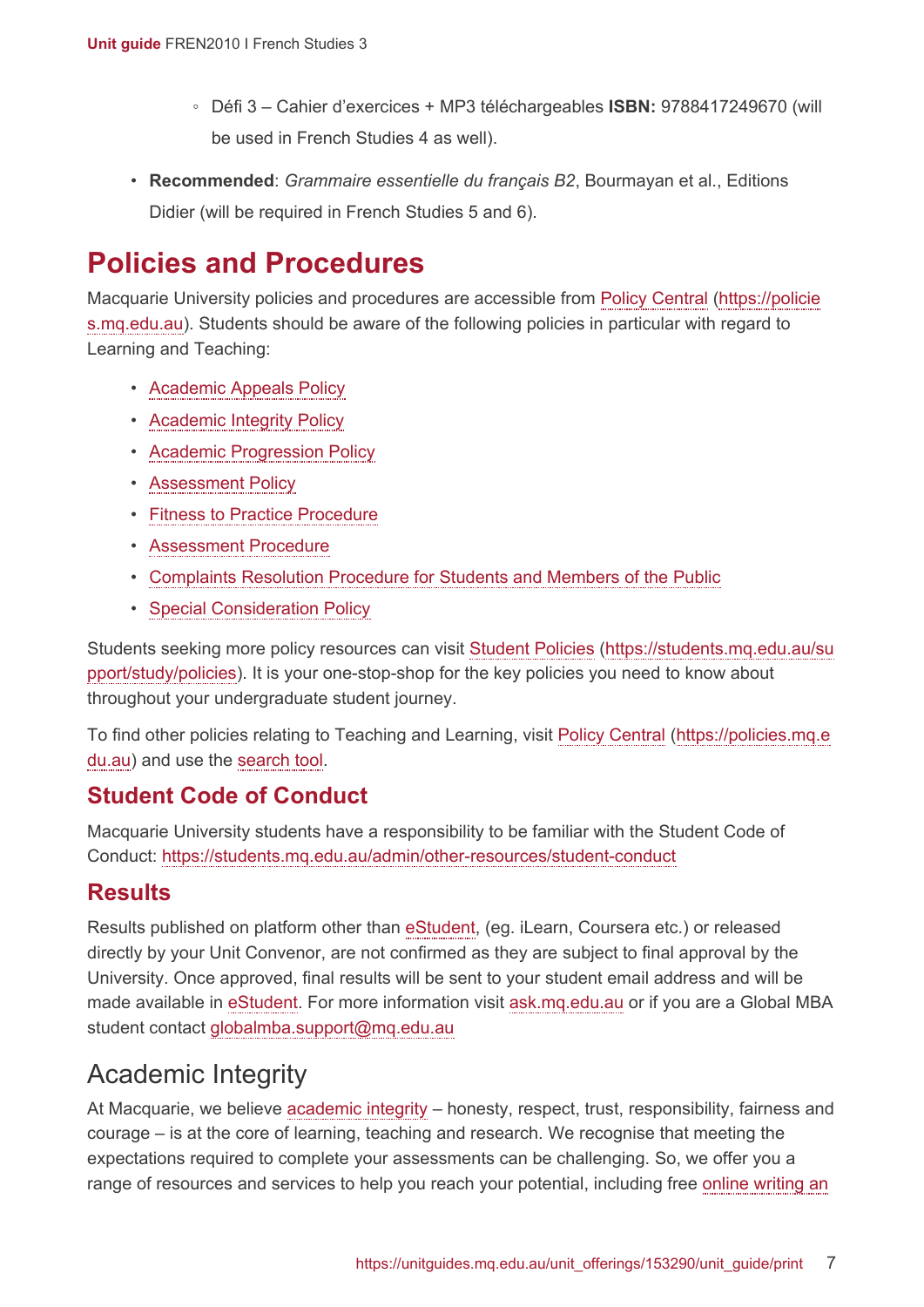- Défi 3 Cahier d'exercices + MP3 téléchargeables **ISBN:** 9788417249670 (will be used in French Studies 4 as well).
- **Recommended**: *Grammaire essentielle du français B2*, Bourmayan et al., Editions Didier (will be required in French Studies 5 and 6).

## <span id="page-6-0"></span>**Policies and Procedures**

Macquarie University policies and procedures are accessible from [Policy Central](https://policies.mq.edu.au/) [\(https://policie](https://policies.mq.edu.au/) [s.mq.edu.au](https://policies.mq.edu.au/)). Students should be aware of the following policies in particular with regard to Learning and Teaching:

- [Academic Appeals Policy](https://policies.mq.edu.au/document/view.php?id=1)
- [Academic Integrity Policy](https://policies.mq.edu.au/document/view.php?id=3)
- [Academic Progression Policy](https://policies.mq.edu.au/document/view.php?id=4)
- [Assessment Policy](https://policies.mq.edu.au/document/view.php?id=17)
- [Fitness to Practice Procedure](https://policies.mq.edu.au/document/view.php?id=6)
- [Assessment Procedure](https://policies.mq.edu.au/document/view.php?id=277)
- [Complaints Resolution Procedure for Students and Members of the Public](https://policies.mq.edu.au/document/view.php?id=282)
- [Special Consideration Policy](https://policies.mq.edu.au/document/view.php?id=136)

Students seeking more policy resources can visit [Student Policies](https://students.mq.edu.au/support/study/policies) [\(https://students.mq.edu.au/su](https://students.mq.edu.au/support/study/policies) [pport/study/policies\)](https://students.mq.edu.au/support/study/policies). It is your one-stop-shop for the key policies you need to know about throughout your undergraduate student journey.

To find other policies relating to Teaching and Learning, visit [Policy Central](https://policies.mq.edu.au/) ([https://policies.mq.e](https://policies.mq.edu.au/) [du.au](https://policies.mq.edu.au/)) and use the [search](https://policies.mq.edu.au/search.php) tool.

#### **Student Code of Conduct**

Macquarie University students have a responsibility to be familiar with the Student Code of Conduct: <https://students.mq.edu.au/admin/other-resources/student-conduct>

#### **Results**

Results published on platform other than [eStudent](https://student1.mq.edu.au/), (eg. iLearn, Coursera etc.) or released directly by your Unit Convenor, are not confirmed as they are subject to final approval by the University. Once approved, final results will be sent to your student email address and will be made available in [eStudent.](https://student1.mq.edu.au/) For more information visit [ask.mq.edu.au](http://ask.mq.edu.au/) or if you are a Global MBA student contact [globalmba.support@mq.edu.au](mailto:globalmba.support@mq.edu.au)

## Academic Integrity

At Macquarie, we believe [academic integrity](https://students.mq.edu.au/study/assessment-exams/academic-integrity) – honesty, respect, trust, responsibility, fairness and courage – is at the core of learning, teaching and research. We recognise that meeting the expectations required to complete your assessments can be challenging. So, we offer you a range of resources and services to help you reach your potential, including free [online writing an](https://students.mq.edu.au/support/study)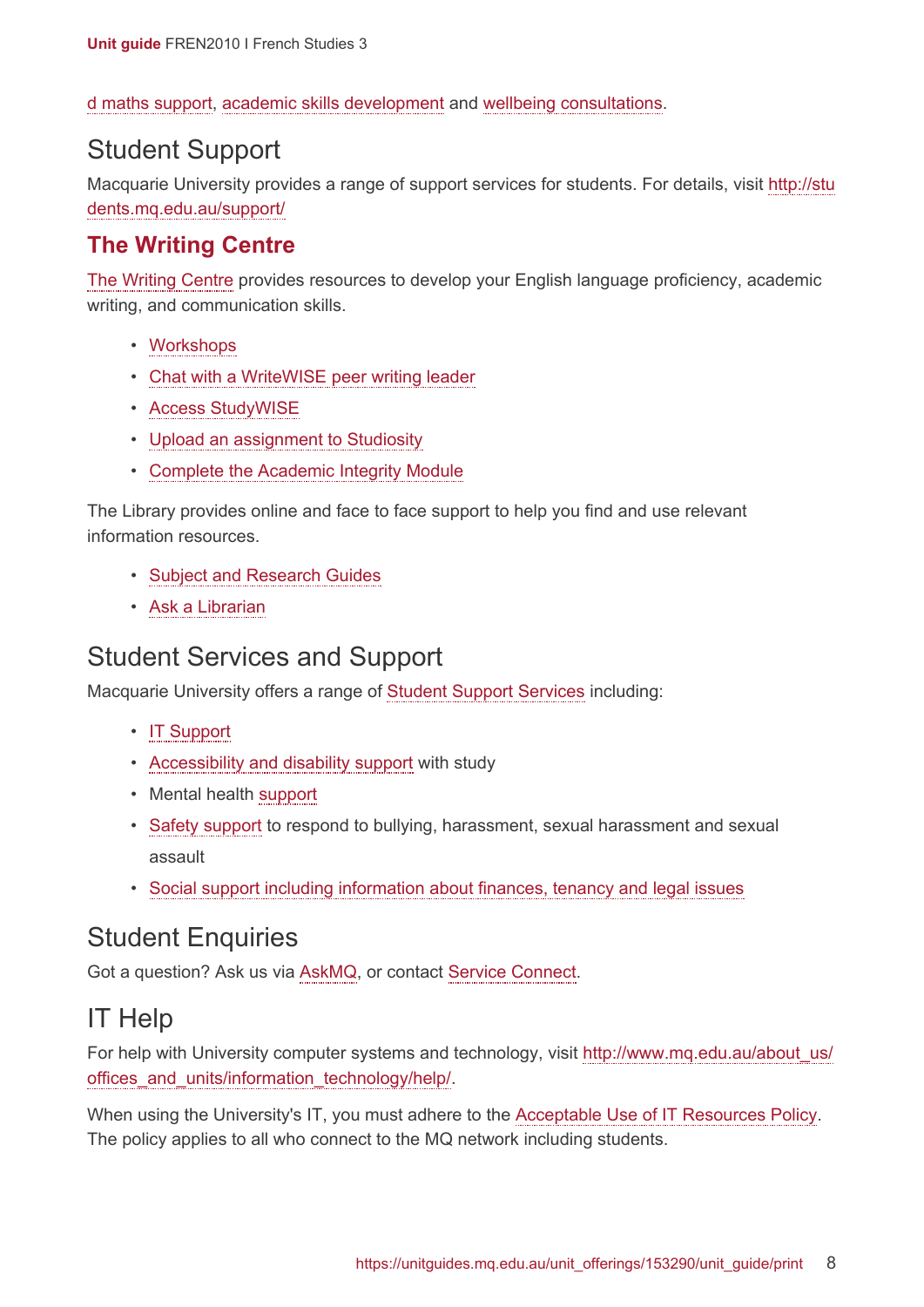[d maths support,](https://students.mq.edu.au/support/study) [academic skills development](https://students.mq.edu.au/support/study/writing) and [wellbeing consultations](https://students.mq.edu.au/support/personal).

#### Student Support

Macquarie University provides a range of support services for students. For details, visit [http://stu](http://students.mq.edu.au/support/) [dents.mq.edu.au/support/](http://students.mq.edu.au/support/)

#### **The Writing Centre**

[The Writing Centre](https://students.mq.edu.au/support/study/writing) provides resources to develop your English language proficiency, academic writing, and communication skills.

- [Workshops](https://students.mq.edu.au/support/study/writing/workshops)
- [Chat with a WriteWISE peer writing leader](https://students.mq.edu.au/support/study/writing/writewise)
- [Access StudyWISE](http://ilearn.mq.edu.au/course/view.php?id=16580)
- [Upload an assignment to Studiosity](https://students.mq.edu.au/support/study/writing/studiosity)
- Complete [the Academic Integrity Module](https://ilearn.mq.edu.au/course/view.php?id=11590)

The Library provides online and face to face support to help you find and use relevant information resources.

- [Subject and Research Guides](http://libguides.mq.edu.au/?b=s)
- [Ask a Librarian](https://www.mq.edu.au/about/campus-services-and-facilities/library/contact-us)

#### Student Services and Support

Macquarie University offers a range of [Student Support Services](https://students.mq.edu.au/support) including:

- [IT Support](https://students.mq.edu.au/support/technology/service-desk)
- [Accessibility and disability support](https://students.mq.edu.au/support/accessibility-disability) with study
- Mental health [support](https://students.mq.edu.au/support/personal/counselling)
- [Safety support](https://students.mq.edu.au/support/personal/social-support) to respond to bullying, harassment, sexual harassment and sexual assault
- [Social support including information about finances, tenancy and legal issues](https://students.mq.edu.au/support/personal/social-support)

#### Student Enquiries

Got a question? Ask us via [AskMQ](https://students.mq.edu.au/support/centres/student-connect), or contact [Service Connect](https://students.mq.edu.au/support/centres/student-connect).

### IT Help

For help with University computer systems and technology, visit [http://www.mq.edu.au/about\\_us/](http://www.mq.edu.au/about_us/offices_and_units/information_technology/help/) offices and units/information technology/help/.

When using the University's IT, you must adhere to the [Acceptable Use of IT Resources Policy.](https://policies.mq.edu.au/document/view.php?id=234) The policy applies to all who connect to the MQ network including students.